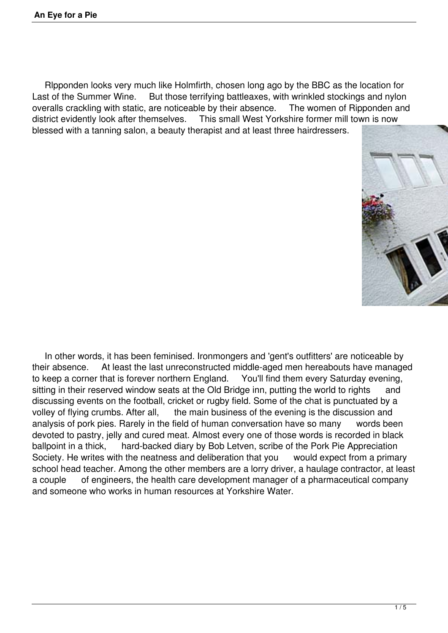Rlpponden looks very much like Holmfirth, chosen long ago by the BBC as the location for Last of the Summer Wine. But those terrifying battleaxes, with wrinkled stockings and nylon overalls crackling with static, are noticeable by their absence. The women of Ripponden and district evidently look after themselves. This small West Yorkshire former mill town is now blessed with a tanning salon, a beauty therapist and at least three hairdressers.



 In other words, it has been feminised. Ironmongers and 'gent's outfitters' are noticeable by their absence. At least the last unreconstructed middle-aged men hereabouts have managed to keep a corner that is forever northern England. You'll find them every Saturday evening, sitting in their reserved window seats at the Old Bridge inn, putting the world to rights and discussing events on the football, cricket or rugby field. Some of the chat is punctuated by a volley of flying crumbs. After all, the main business of the evening is the discussion and analysis of pork pies. Rarely in the field of human conversation have so many words been devoted to pastry, jelly and cured meat. Almost every one of those words is recorded in black ballpoint in a thick, hard-backed diary by Bob Letven, scribe of the Pork Pie Appreciation Society. He writes with the neatness and deliberation that you would expect from a primary school head teacher. Among the other members are a lorry driver, a haulage contractor, at least a couple of engineers, the health care development manager of a pharmaceutical company and someone who works in human resources at Yorkshire Water.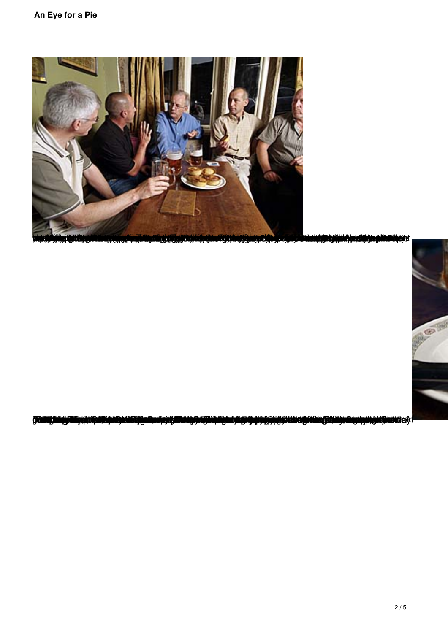

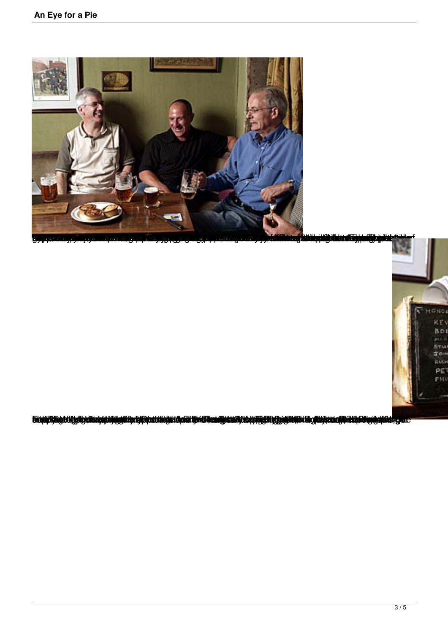

<u>Enang Ministriky niyani ang didigitika di Marat kisihi Kasal tin Glassily namili kani i Arhiti Rajat di North</u>



 $3/5$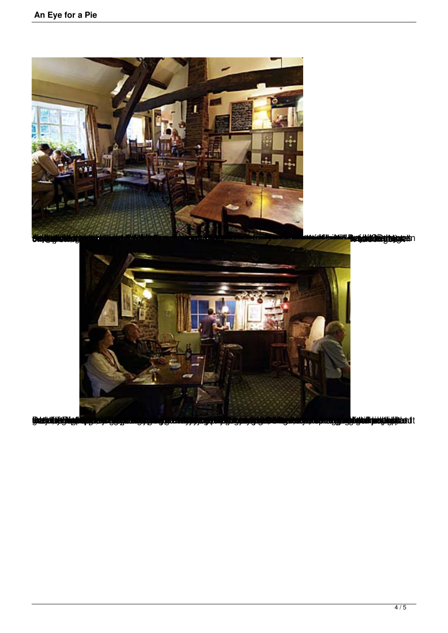